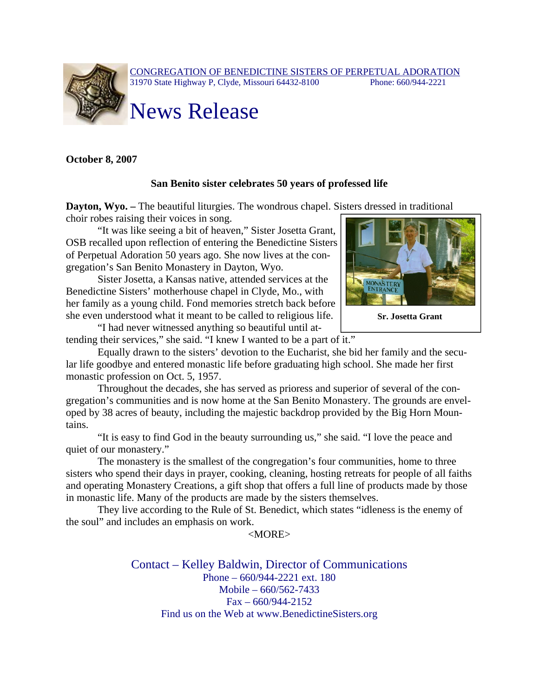

**October 8, 2007** 

## **San Benito sister celebrates 50 years of professed life**

**Dayton, Wyo.** – The beautiful liturgies. The wondrous chapel. Sisters dressed in traditional choir robes raising their voices in song.

"It was like seeing a bit of heaven," Sister Josetta Grant, OSB recalled upon reflection of entering the Benedictine Sisters of Perpetual Adoration 50 years ago. She now lives at the congregation's San Benito Monastery in Dayton, Wyo.

Sister Josetta, a Kansas native, attended services at the Benedictine Sisters' motherhouse chapel in Clyde, Mo., with her family as a young child. Fond memories stretch back before she even understood what it meant to be called to religious life.

"I had never witnessed anything so beautiful until attending their services," she said. "I knew I wanted to be a part of it."

Equally drawn to the sisters' devotion to the Eucharist, she bid her family and the secular life goodbye and entered monastic life before graduating high school. She made her first monastic profession on Oct. 5, 1957.

Throughout the decades, she has served as prioress and superior of several of the congregation's communities and is now home at the San Benito Monastery. The grounds are enveloped by 38 acres of beauty, including the majestic backdrop provided by the Big Horn Mountains.

"It is easy to find God in the beauty surrounding us," she said. "I love the peace and quiet of our monastery."

The monastery is the smallest of the congregation's four communities, home to three sisters who spend their days in prayer, cooking, cleaning, hosting retreats for people of all faiths and operating Monastery Creations, a gift shop that offers a full line of products made by those in monastic life. Many of the products are made by the sisters themselves.

They live according to the Rule of St. Benedict, which states "idleness is the enemy of the soul" and includes an emphasis on work.

## $<$ MORE $>$

Contact – Kelley Baldwin, Director of Communications Phone – 660/944-2221 ext. 180 Mobile – 660/562-7433  $Fax - 660/944 - 2152$ Find us on the Web at www.BenedictineSisters.org



**Sr. Josetta Grant**